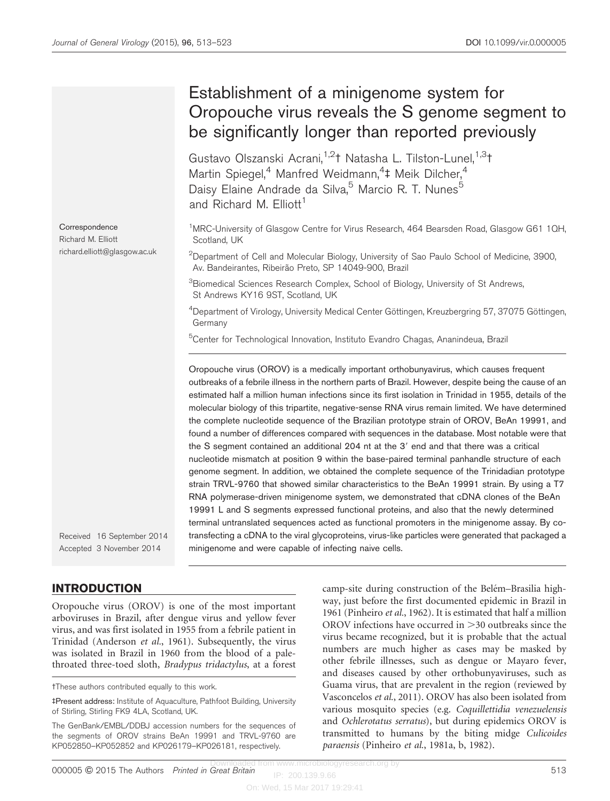## Establishment of a minigenome system for Oropouche virus reveals the S genome segment to be significantly longer than reported previously Gustavo Olszanski Acrani,<sup>1,2</sup>t Natasha L. Tilston-Lunel,<sup>1,3</sup>t Martin Spiegel,<sup>4</sup> Manfred Weidmann,<sup>4</sup>‡ Meik Dilcher,<sup>4</sup> Daisy Elaine Andrade da Silva,<sup>5</sup> Marcio R. T. Nunes<sup>5</sup> and Richard M. Elliott<sup>1</sup> **Correspondence** Richard M. Elliott richard.elliott@glasgow.ac.uk Received 16 September 2014 Accepted 3 November 2014 <sup>1</sup>MRC-University of Glasgow Centre for Virus Research, 464 Bearsden Road, Glasgow G61 1QH, Scotland, UK  $^{2}$ Department of Cell and Molecular Biology, University of Sao Paulo School of Medicine, 3900, Av. Bandeirantes, Ribeirão Preto, SP 14049-900, Brazil <sup>3</sup>Biomedical Sciences Research Complex, School of Biology, University of St Andrews, St Andrews KY16 9ST, Scotland, UK <sup>4</sup>Department of Virology, University Medical Center Göttingen, Kreuzbergring 57, 37075 Göttingen, Germany <sup>5</sup>Center for Technological Innovation, Instituto Evandro Chagas, Ananindeua, Brazil Oropouche virus (OROV) is a medically important orthobunyavirus, which causes frequent outbreaks of a febrile illness in the northern parts of Brazil. However, despite being the cause of an estimated half a million human infections since its first isolation in Trinidad in 1955, details of the molecular biology of this tripartite, negative-sense RNA virus remain limited. We have determined the complete nucleotide sequence of the Brazilian prototype strain of OROV, BeAn 19991, and found a number of differences compared with sequences in the database. Most notable were that the S segment contained an additional 204 nt at the 3' end and that there was a critical nucleotide mismatch at position 9 within the base-paired terminal panhandle structure of each genome segment. In addition, we obtained the complete sequence of the Trinidadian prototype strain TRVL-9760 that showed similar characteristics to the BeAn 19991 strain. By using a T7 RNA polymerase-driven minigenome system, we demonstrated that cDNA clones of the BeAn 19991 L and S segments expressed functional proteins, and also that the newly determined terminal untranslated sequences acted as functional promoters in the minigenome assay. By cotransfecting a cDNA to the viral glycoproteins, virus-like particles were generated that packaged a minigenome and were capable of infecting naive cells.

INTRODUCTION

Oropouche virus (OROV) is one of the most important arboviruses in Brazil, after dengue virus and yellow fever virus, and was first isolated in 1955 from a febrile patient in Trinidad ([Anderson](#page-9-0) et al., 1961). Subsequently, the virus was isolated in Brazil in 1960 from the blood of a palethroated three-toed sloth, Bradypus tridactylus, at a forest

The GenBank/EMBL/DDBJ accession numbers for the sequences of the segments of OROV strains BeAn 19991 and TRVL-9760 are KP052850–KP052852 and KP026179–KP026181, respectively.

camp-site during construction of the Belém–Brasilia highway, just before the first documented epidemic in Brazil in 1961 ([Pinheiro](#page-10-0) et al., 1962). It is estimated that half a million OROV infections have occurred in  $>$ 30 outbreaks since the virus became recognized, but it is probable that the actual numbers are much higher as cases may be masked by other febrile illnesses, such as dengue or Mayaro fever, and diseases caused by other orthobunyaviruses, such as Guama virus, that are prevalent in the region (reviewed by [Vasconcelos](#page-10-0) et al., 2011). OROV has also been isolated from various mosquito species (e.g. Coquillettidia venezuelensis and Ochlerotatus serratus), but during epidemics OROV is transmitted to humans by the biting midge Culicoides paraensis [\(Pinheiro](#page-10-0) et al., 1981a, [b, 1982\)](#page-10-0).

tThese authors contributed equally to this work.

<sup>4</sup>Present address: Institute of Aquaculture, Pathfoot Building, University of Stirling, Stirling FK9 4LA, Scotland, UK.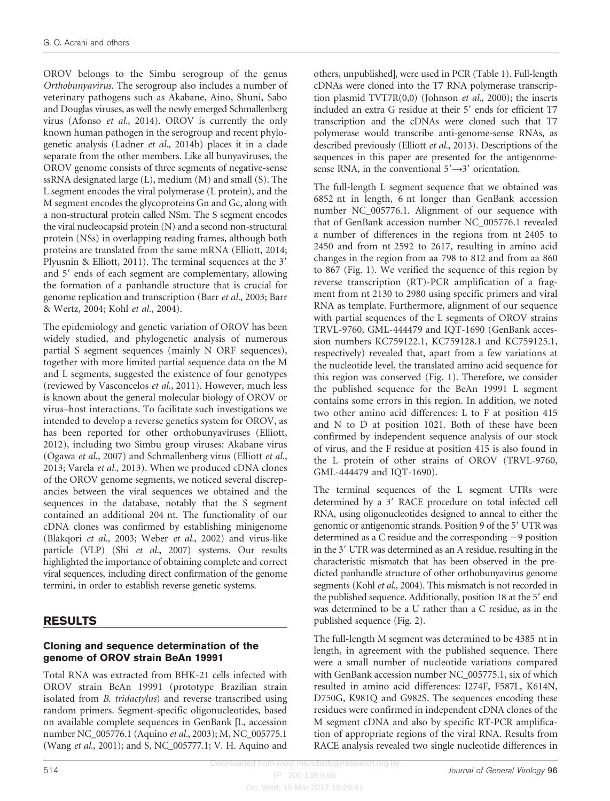OROV belongs to the Simbu serogroup of the genus Orthobunyavirus. The serogroup also includes a number of veterinary pathogens such as Akabane, Aino, Shuni, Sabo and Douglas viruses, as well the newly emerged Schmallenberg virus [\(Afonso](#page-9-0) et al., 2014). OROV is currently the only known human pathogen in the serogroup and recent phylogenetic analysis (Ladner et al.[, 2014b\)](#page-10-0) places it in a clade separate from the other members. Like all bunyaviruses, the OROV genome consists of three segments of negative-sense ssRNA designated large (L), medium (M) and small (S). The L segment encodes the viral polymerase (L protein), and the M segment encodes the glycoproteins Gn and Gc, along with a non-structural protein called NSm. The S segment encodes the viral nucleocapsid protein (N) and a second non-structural protein (NSs) in overlapping reading frames, although both proteins are translated from the same mRNA ([Elliott, 2014](#page-10-0); [Plyusnin & Elliott, 2011](#page-10-0)). The terminal sequences at the  $3'$ and 5' ends of each segment are complementary, allowing the formation of a panhandle structure that is crucial for genome replication and transcription (Barr et al.[, 2003](#page-9-0); [Barr](#page-9-0) [& Wertz, 2004;](#page-9-0) Kohl et al.[, 2004\)](#page-10-0).

The epidemiology and genetic variation of OROV has been widely studied, and phylogenetic analysis of numerous partial S segment sequences (mainly N ORF sequences), together with more limited partial sequence data on the M and L segments, suggested the existence of four genotypes (reviewed by [Vasconcelos](#page-10-0) et al., 2011). However, much less is known about the general molecular biology of OROV or virus–host interactions. To facilitate such investigations we intended to develop a reverse genetics system for OROV, as has been reported for other orthobunyaviruses [\(Elliott,](#page-10-0) [2012](#page-10-0)), including two Simbu group viruses: Akabane virus [\(Ogawa](#page-10-0) et al., 2007) and Schmallenberg virus ([Elliott](#page-10-0) et al., [2013](#page-10-0); [Varela](#page-10-0) et al., 2013). When we produced cDNA clones of the OROV genome segments, we noticed several discrepancies between the viral sequences we obtained and the sequences in the database, notably that the S segment contained an additional 204 nt. The functionality of our cDNA clones was confirmed by establishing minigenome [\(Blakqori](#page-10-0) et al., 2003; [Weber](#page-10-0) et al., 2002) and virus-like particle (VLP) (Shi et al.[, 2007\)](#page-10-0) systems. Our results highlighted the importance of obtaining complete and correct viral sequences, including direct confirmation of the genome termini, in order to establish reverse genetic systems.

# RESULTS

#### Cloning and sequence determination of the genome of OROV strain BeAn 19991

Total RNA was extracted from BHK-21 cells infected with OROV strain BeAn 19991 (prototype Brazilian strain isolated from B. tridactylus) and reverse transcribed using random primers. Segment-specific oligonucleotides, based on available complete sequences in GenBank [L, accession number NC\_005776.1 [\(Aquino](#page-9-0) et al., 2003); M, NC\_005775.1 (Wang et al.[, 2001\)](#page-10-0); and S, NC\_005777.1; V. H. Aquino and

others, unpublished], were used in PCR [\(Table 1\)](#page-2-0). Full-length cDNAs were cloned into the T7 RNA polymerase transcription plasmid TVT7R(0,0) [\(Johnson](#page-10-0) et al., 2000); the inserts included an extra G residue at their 5' ends for efficient T7 transcription and the cDNAs were cloned such that T7 polymerase would transcribe anti-genome-sense RNAs, as described previously [\(Elliott](#page-10-0) et al., 2013). Descriptions of the sequences in this paper are presented for the antigenomesense RNA, in the conventional  $5' \rightarrow 3'$  orientation.

The full-length L segment sequence that we obtained was 6852 nt in length, 6 nt longer than GenBank accession number NC\_005776.1. Alignment of our sequence with that of GenBank accession number NC\_005776.1 revealed a number of differences in the regions from nt 2405 to 2450 and from nt 2592 to 2617, resulting in amino acid changes in the region from aa 798 to 812 and from aa 860 to 867 [\(Fig. 1\)](#page-3-0). We verified the sequence of this region by reverse transcription (RT)-PCR amplification of a fragment from nt 2130 to 2980 using specific primers and viral RNA as template. Furthermore, alignment of our sequence with partial sequences of the L segments of OROV strains TRVL-9760, GML-444479 and IQT-1690 (GenBank accession numbers KC759122.1, KC759128.1 and KC759125.1, respectively) revealed that, apart from a few variations at the nucleotide level, the translated amino acid sequence for this region was conserved ([Fig. 1\)](#page-3-0). Therefore, we consider the published sequence for the BeAn 19991 L segment contains some errors in this region. In addition, we noted two other amino acid differences: L to F at position 415 and N to D at position 1021. Both of these have been confirmed by independent sequence analysis of our stock of virus, and the F residue at position 415 is also found in the L protein of other strains of OROV (TRVL-9760, GML-444479 and IQT-1690).

The terminal sequences of the L segment UTRs were determined by a 3' RACE procedure on total infected cell RNA, using oligonucleotides designed to anneal to either the genomic or antigenomic strands. Position 9 of the 5' UTR was determined as a C residue and the corresponding  $-9$  position in the 3' UTR was determined as an A residue, resulting in the characteristic mismatch that has been observed in the predicted panhandle structure of other orthobunyavirus genome segments (Kohl et al.[, 2004](#page-10-0)). This mismatch is not recorded in the published sequence. Additionally, position 18 at the 5' end was determined to be a U rather than a C residue, as in the published sequence [\(Fig. 2](#page-4-0)).

The full-length M segment was determined to be 4385 nt in length, in agreement with the published sequence. There were a small number of nucleotide variations compared with GenBank accession number NC\_005775.1, six of which resulted in amino acid differences: I274F, F587L, K614N, D750G, K981Q and G982S. The sequences encoding these residues were confirmed in independent cDNA clones of the M segment cDNA and also by specific RT-PCR amplification of appropriate regions of the viral RNA. Results from RACE analysis revealed two single nucleotide differences in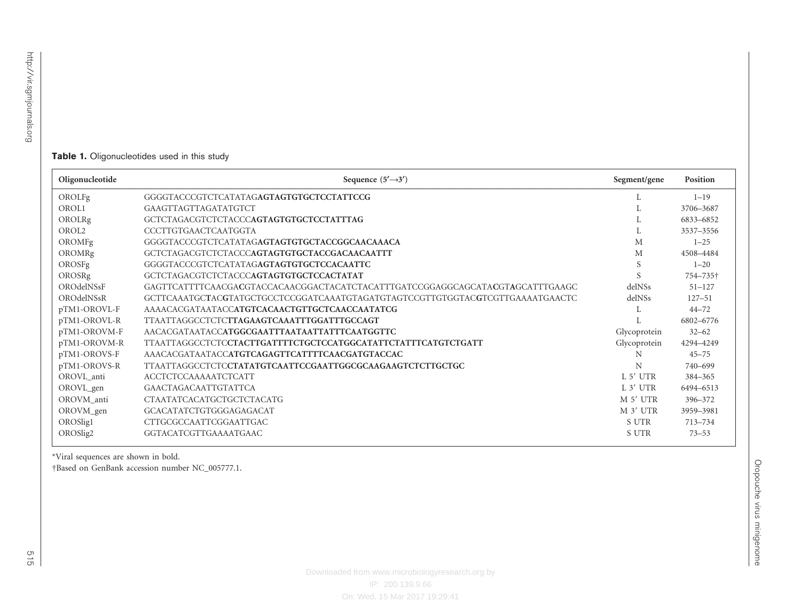#### <span id="page-2-0"></span>**Table 1.** Oligonucleotides used in this study

| Oligonucleotide | Sequence $(5' \rightarrow 3')$                                                | Segment/gene | Position   |
|-----------------|-------------------------------------------------------------------------------|--------------|------------|
| OROLFg          | GGGGTACCCGTCTCATATAGAGTAGTGTGCTCCTATTCCG                                      |              | $1 - 19$   |
| OROL1           | GAAGTTAGTTAGATATGTCT                                                          |              | 3706-3687  |
| OROLRg          | GCTCTAGACGTCTCTACCCAGTAGTGTGCTCCTATTTAG                                       |              | 6833-6852  |
| OROL2           | CCCTTGTGAACTCAATGGTA                                                          |              | 3537-3556  |
| OROMFg          |                                                                               | М            | $1 - 25$   |
| OROMRg          | GCTCTAGACGTCTCTACCCAGTAGTGTGCTACCGACAACAATTT                                  | M            | 4508-4484  |
| OROSFg          | GGGGTACCCGTCTCATATAGAGTAGTGTGCTCCACAATTC                                      | S            | $1 - 20$   |
| OROSRg          | GCTCTAGACGTCTCTACCCAGTAGTGTGCTCCACTATAT                                       | S            | 754-735†   |
| OROdelNSsF      | GAGTTCATTTTCAACGACGTACCACAACGGACTACATCTACATTTGATCCGGAGGCAGCATACGTAGCATTTGAAGC | delNSs       | $51 - 127$ |
| OROdelNSsR      | GCTTCAAATGCTACGTATGCTGCCTCCGGATCAAATGTAGATGTAGTCCGTTGTGGTACGTCGTTGAAAATGAACTC | delNSs       | $127 - 51$ |
| pTM1-OROVL-F    | AAAACACGATAATACCATGTCACAACTGTTGCTCAACCAATATCG                                 |              | $44 - 72$  |
| pTM1-OROVL-R    | TTAATTAGGCCTCTCTTAGAAGTCAAATTTGGATTTGCCAGT                                    |              | 6802-6776  |
| pTM1-OROVM-F    | AACACGATAATACCATGGCGAATTTAATAATTATTTCAATGGTTC                                 | Glycoprotein | $32 - 62$  |
| pTM1-OROVM-R    | TTAATTAGGCCTCTCCTACTTGATTTTCTGCTCCATGGCATATTCTATTTCATGTCTGATT                 | Glycoprotein | 4294-4249  |
| pTM1-OROVS-F    | AAACACGATAATACCATGTCAGAGTTCATTTTCAACGATGTACCAC                                | N            | $45 - 75$  |
| pTM1-OROVS-R    | TTAATTAGGCCTCTCCTATATGTCAATTCCGAATTGGCGCAAGAAGTCTCTTGCTGC                     | N            | 740-699    |
| OROVL_anti      | <b>ACCTCTCCAAAAATCTCATT</b>                                                   | L 5' UTR     | 384-365    |
| OROVL_gen       | GAACTAGACAATTGTATTCA                                                          | L 3' UTR     | 6494-6513  |
| OROVM anti      | CTAATATCACATGCTGCTCTACATG                                                     | M 5' UTR     | 396-372    |
| OROVM_gen       | GCACATATCTGTGGGAGAGACAT                                                       | M 3' UTR     | 3959-3981  |
| OROSlig1        | CTTGCGCCAATTCGGAATTGAC                                                        | S UTR        | 713-734    |
| OROSlig2        | GGTACATCGTTGAAAATGAAC                                                         | S UTR        | $73 - 53$  |

\*Viral sequences are shown in bold. DBased on GenBank accession number NC\_005777.1.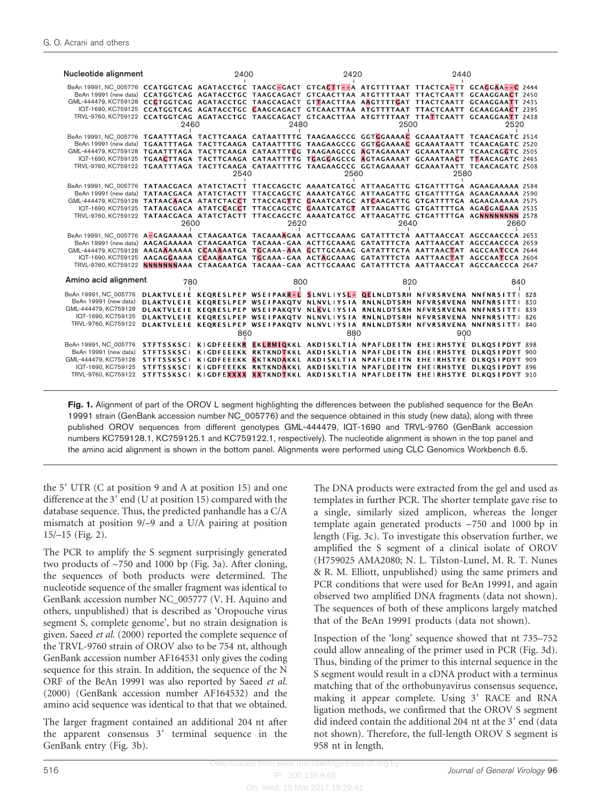<span id="page-3-0"></span>

| Nucleotide alignment                                                                                                                                                                                                                                                                                                                                                                                                             |      | 2400 |      | 2420 |                                                                              | 2440 |                                                                                                                                                                                                                                                                                                                                                     |  |
|----------------------------------------------------------------------------------------------------------------------------------------------------------------------------------------------------------------------------------------------------------------------------------------------------------------------------------------------------------------------------------------------------------------------------------|------|------|------|------|------------------------------------------------------------------------------|------|-----------------------------------------------------------------------------------------------------------------------------------------------------------------------------------------------------------------------------------------------------------------------------------------------------------------------------------------------------|--|
| BeAn 19991, NC 005776 CCATGGTCAG AGATACCTGC TAAGC-GACT GTCACTT--A ATGTTTTAAT TTACTCA-TT GCAGGAA--C 2444<br>GML-444479, KC759128 CCGTGGTCAG AGATACCTGC TAAGCAGACT GTTAACTTAA AAGTTTTGAT TTACTCAATT GCAAGGAATT 2435                                                                                                                                                                                                                | 2460 |      | 2480 |      | 2500                                                                         |      | BeAn 19991 (new data) CCATGGTCAG AGATACCTGC TAAGCAGACT GTCAACTTAA ATGTTTTAAT TTACTCAATT GCAAGGAACT 2450<br>IQT-1690, KC759125 CCATGGTCAG AGATACCTGC CAAGCAGACT GTCAACTTAA ATGTTTTAAT TTACTCAATT GCAAGGAACT 2395<br>TRVL-9760, KC759122 CCATGGTCAG AGATACCTGC TAAGCAGACT GTCAACTTAA ATGTTTTAAT TTATTCAATT GCAAGGAATT 2438<br>2520                    |  |
| BeAn 19991, NC 005776 TGAATTTAGA TACTTCAAGA CATAATTTTG TAAGAAGCCG GGTGGAAAAC GCAAATAATT TCAACAGATC 2514<br>GML-444479, KC759128 TGAATTTAGA TACTTCAAGA CATAATTTCG TAAGAAGCCG AGTAGAAAAT GCAAATAATT TCAACAGGTC 2505                                                                                                                                                                                                                |      | 2540 |      | 2560 |                                                                              | 2580 | BeAn 19991 (new data) TGAATTTAGA TACTTCAAGA CATAATTTTG TAAGAAGCCG GGTGGAAAAC GCAAATAATT TCAACAGATC 2520<br>IQT-1690, KC759125 TGAACTTAGA TACTTCAAGA CATAATTTTG TGAGGAGCCG AGTAGAAAAT GCAAATAACT TTAACAGATC 2465<br>TRVL-9760, KC759122 TGAATTTAGA TACTTCAAGA CATAATTTTG TAAGAAGCCG GGTAGAAAAT GCAAATAATT TCAACAGATC 2508                            |  |
| BeAn 19991, NC 005776 TATAACGACA ATATCTACTT TTACCAGCTC AAAATCATGC ATTAAGATTG GTGATTTTGA AGAAGAAAAA 2584<br>GML-444479, KC759128 TATAACAACA ATATCTACCT TTACCAGTTC GAAATCATGC ATCAAGATTG GTGATTTTGA AGAAGAAAAA 2575                                                                                                                                                                                                                | 2600 |      | 2620 |      | 2640                                                                         |      | BeAn 19991 (new data) TATAACGACA ATATCTACTT TTACCAGCTC AAAATCATGC ATTAAGATTG GTGATTTTGA AGAAGAAAAA 2590<br>IQT-1690.KC759125 TATAACGACA ATATCCACCT TTACCAGCTC GAAATCATGT ATTAAGATTG GTGATTTTGA AGACGAGAAA 2535<br>TRVL-9760, KC759122 TATAACGACA ATATCTACTT TTACCAGCTC AAAATCATGC ATTAAGATTG GTGATTTTGA AGNNNNNNNN 2578<br>2660                     |  |
| BeAn 19991, NC 005776 A-GAGAAAAA CTAAGAATGA TACAAAAGAA ACTTGCAAAG GATATTTCTA AATTAACCAT AGCCAACCCA 2653<br>GML-444479.KC759128 AAGAAAAAAA CCAAAAATGA TGCAAA-AAA GCTTGCAAAG GATATTTCTA AATTAACTAT AGCCAATCCA 2644                                                                                                                                                                                                                 |      |      |      |      |                                                                              |      | BeAn 19991 (new data) AAGAGAAAAA CTAAGAATGA TACAAA-GAA ACTTGCAAAG GATATTTCTA AATTAACCAT AGCCAACCCA 2659<br>IQT-1690, KC759125 AAGAGGAAAA CCAAAAATGA TGCAAA-GAA ACTAGCAAAG GATATTTCTA AATTAACTAT AGCCAATCCA 2604<br>TRVL-9760. KC759122 NNNNNNNAAA CTAAGAATGA TACAAA-GAA ACTTGCAAAG GATATTTCTA AATTAACCAT AGCCAACCCA 2647                            |  |
| Amino acid alignment<br>780                                                                                                                                                                                                                                                                                                                                                                                                      |      |      | 800  |      | 820                                                                          |      | 840                                                                                                                                                                                                                                                                                                                                                 |  |
| BeAn 19991, NC 005776<br>BeAn 19991 (new data)<br>GML-444479, KC759128<br>IQT-1690, KC759125<br>TRVL-9760, KC759122                                                                                                                                                                                                                                                                                                              |      |      |      |      | DLAKTVLEIE KEQRESLPEP WSEIPAKQTV NLNVLIYSIA RNLNLDTSRH NFVRSRVENA NNFNRSITTI |      | DLAKTVLEIE KEQRESLPEP WSEIPAKR-L SLNVLIYSL- QELNLDTSRH NFVRSRVENA NNFNRSITTI 828<br>830<br>DLAKTVLEIE KEORESLPEP WSEIPAKOTV NLKVLIYSIA RNLNLDTSRH NFVRSRVENA NNFNRSITTI 839<br>DLAKTVLEIE KEQRESLPEP WSEIPAKQTV NLNVLIYSIA RNLNLDTSRH NFVRSRVENA NNFNRSITTI 826<br>DLAKTVLEIE KEQRESLPEP WSEIPAKQTV NLNVLIYSIA RNLNLDTSRH NFVRSRVENA NNFNRSITTI 840 |  |
| BeAn 19991, NC 005776 STFTSSKSCI KIGDFEEEKR EKLRMIQKKL AKDISKLTIA NPAFLDEITN EHEIRHSTYE DLKQSIPDYT 898<br>BeAn 19991 (new data) STFTSSKSCI KIGDFEEEKK RKTKNDTKKL AKDISKLTIA NPAFLDEITN EHEIRHSTYE DLKQSIPDYT 900<br>GML-444479.KC759128 STFTSSKSCI KIGDFEEEKK KKTKNDAKKL AKDISKLTIA NPAFLDEITN EHEIRHSTYE DLKOSIPDYT 909<br>TRVL-9760, KC759122 STFTSSKSCI KIGDFEXXXX XXTKNDTKKL AKDISKLTIA NPAFLDEITN EHEIRHSTYE DLKQSIPDYT 910 |      | 860  |      | 880  |                                                                              | 900  | IQT-1690, KC759125 STFTSSKSCI KIGDFEEEKK RKTKNDAKKL AKDISKLTIA NPAFLDEITN EHEIRHSTYE DLKQSIPDYT 896                                                                                                                                                                                                                                                 |  |

Fig. 1. Alignment of part of the OROV L segment highlighting the differences between the published sequence for the BeAn 19991 strain (GenBank accession number NC\_005776) and the sequence obtained in this study (new data), along with three published OROV sequences from different genotypes GML-444479, IQT-1690 and TRVL-9760 (GenBank accession numbers KC759128.1, KC759125.1 and KC759122.1, respectively). The nucleotide alignment is shown in the top panel and the amino acid alignment is shown in the bottom panel. Alignments were performed using CLC Genomics Workbench 6.5.

the  $5'$  UTR (C at position 9 and A at position 15) and one difference at the  $3'$  end (U at position 15) compared with the database sequence. Thus, the predicted panhandle has a C/A mismatch at position 9/–9 and a U/A pairing at position 15/–15 [\(Fig. 2](#page-4-0)).

The PCR to amplify the S segment surprisingly generated two products of ~750 and 1000 bp ([Fig. 3a](#page-5-0)). After cloning, the sequences of both products were determined. The nucleotide sequence of the smaller fragment was identical to GenBank accession number NC\_005777 (V. H. Aquino and others, unpublished) that is described as 'Oropouche virus segment S, complete genome', but no strain designation is given. Saeed et al. [\(2000\)](#page-10-0) reported the complete sequence of the TRVL-9760 strain of OROV also to be 754 nt, although GenBank accession number AF164531 only gives the coding sequence for this strain. In addition, the sequence of the N ORF of the BeAn 19991 was also reported by [Saeed](#page-10-0) et al. [\(2000\)](#page-10-0) (GenBank accession number AF164532) and the amino acid sequence was identical to that that we obtained.

The larger fragment contained an additional 204 nt after the apparent consensus  $3'$  terminal sequence in the GenBank entry ([Fig. 3b\)](#page-5-0).

The DNA products were extracted from the gel and used as templates in further PCR. The shorter template gave rise to a single, similarly sized amplicon, whereas the longer template again generated products ~750 and 1000 bp in length ([Fig. 3c\)](#page-5-0). To investigate this observation further, we amplified the S segment of a clinical isolate of OROV (H759025 AMA2080; N. L. Tilston-Lunel, M. R. T. Nunes & R. M. Elliott, unpublished) using the same primers and PCR conditions that were used for BeAn 19991, and again observed two amplified DNA fragments (data not shown). The sequences of both of these amplicons largely matched that of the BeAn 19991 products (data not shown).

Inspection of the 'long' sequence showed that nt 735–752 could allow annealing of the primer used in PCR ([Fig. 3d](#page-5-0)). Thus, binding of the primer to this internal sequence in the S segment would result in a cDNA product with a terminus matching that of the orthobunyavirus consensus sequence, making it appear complete. Using 3' RACE and RNA ligation methods, we confirmed that the OROV S segment did indeed contain the additional 204 nt at the 3' end (data not shown). Therefore, the full-length OROV S segment is 958 nt in length.

On: Wed, 15 Mar 2017 19:29:41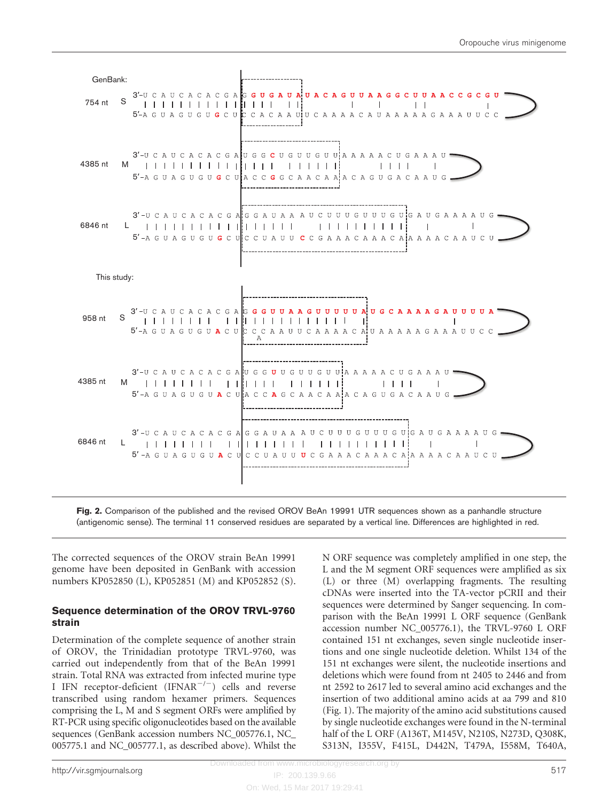<span id="page-4-0"></span>

Fig. 2. Comparison of the published and the revised OROV BeAn 19991 UTR sequences shown as a panhandle structure (antigenomic sense). The terminal 11 conserved residues are separated by a vertical line. Differences are highlighted in red.

The corrected sequences of the OROV strain BeAn 19991 genome have been deposited in GenBank with accession numbers KP052850 (L), KP052851 (M) and KP052852 (S).

#### Sequence determination of the OROV TRVL-9760 strain

Determination of the complete sequence of another strain of OROV, the Trinidadian prototype TRVL-9760, was carried out independently from that of the BeAn 19991 strain. Total RNA was extracted from infected murine type I IFN receptor-deficient (IFNAR<sup>-/-</sup>) cells and reverse transcribed using random hexamer primers. Sequences comprising the L, M and S segment ORFs were amplified by RT-PCR using specific oligonucleotides based on the available sequences (GenBank accession numbers NC\_005776.1, NC\_ 005775.1 and NC\_005777.1, as described above). Whilst the N ORF sequence was completely amplified in one step, the L and the M segment ORF sequences were amplified as six (L) or three (M) overlapping fragments. The resulting cDNAs were inserted into the TA-vector pCRII and their sequences were determined by Sanger sequencing. In comparison with the BeAn 19991 L ORF sequence (GenBank accession number NC\_005776.1), the TRVL-9760 L ORF contained 151 nt exchanges, seven single nucleotide insertions and one single nucleotide deletion. Whilst 134 of the 151 nt exchanges were silent, the nucleotide insertions and deletions which were found from nt 2405 to 2446 and from nt 2592 to 2617 led to several amino acid exchanges and the insertion of two additional amino acids at aa 799 and 810 ([Fig. 1](#page-3-0)). The majority of the amino acid substitutions caused by single nucleotide exchanges were found in the N-terminal half of the L ORF (A136T, M145V, N210S, N273D, Q308K, S313N, I355V, F415L, D442N, T479A, I558M, T640A,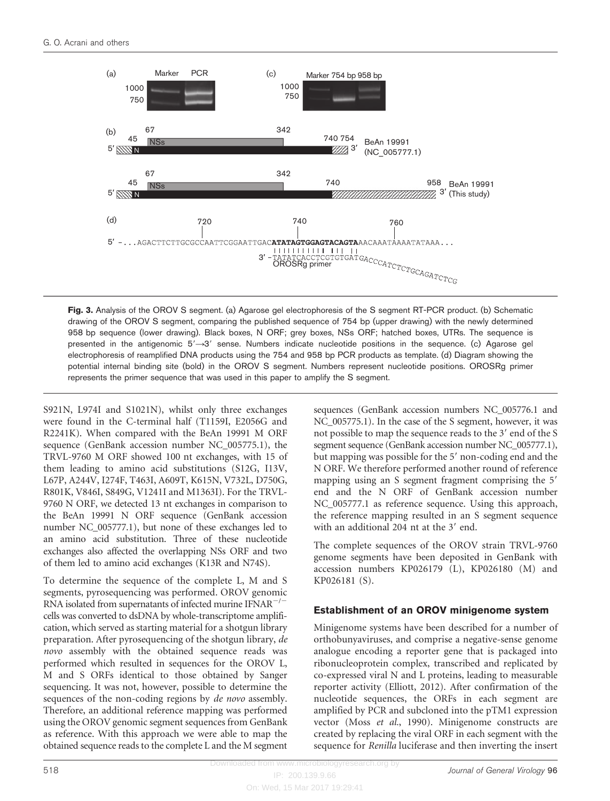<span id="page-5-0"></span>

Fig. 3. Analysis of the OROV S segment. (a) Agarose gel electrophoresis of the S segment RT-PCR product. (b) Schematic drawing of the OROV S segment, comparing the published sequence of 754 bp (upper drawing) with the newly determined 958 bp sequence (lower drawing). Black boxes, N ORF; grey boxes, NSs ORF; hatched boxes, UTRs. The sequence is presented in the antigenomic  $5'-3'$  sense. Numbers indicate nucleotide positions in the sequence. (c) Agarose gel electrophoresis of reamplified DNA products using the 754 and 958 bp PCR products as template. (d) Diagram showing the potential internal binding site (bold) in the OROV S segment. Numbers represent nucleotide positions. OROSRg primer represents the primer sequence that was used in this paper to amplify the S segment.

S921N, L974I and S1021N), whilst only three exchanges were found in the C-terminal half (T1159I, E2056G and R2241K). When compared with the BeAn 19991 M ORF sequence (GenBank accession number NC\_005775.1), the TRVL-9760 M ORF showed 100 nt exchanges, with 15 of them leading to amino acid substitutions (S12G, I13V, L67P, A244V, I274F, T463I, A609T, K615N, V732L, D750G, R801K, V846I, S849G, V1241I and M1363I). For the TRVL-9760 N ORF, we detected 13 nt exchanges in comparison to the BeAn 19991 N ORF sequence (GenBank accession number NC\_005777.1), but none of these exchanges led to an amino acid substitution. Three of these nucleotide exchanges also affected the overlapping NSs ORF and two of them led to amino acid exchanges (K13R and N74S).

To determine the sequence of the complete L, M and S segments, pyrosequencing was performed. OROV genomic RNA isolated from supernatants of infected murine  $IFNAR^{-/-}$ cells was converted to dsDNA by whole-transcriptome amplification, which served as starting material for a shotgun library preparation. After pyrosequencing of the shotgun library, de novo assembly with the obtained sequence reads was performed which resulted in sequences for the OROV L, M and S ORFs identical to those obtained by Sanger sequencing. It was not, however, possible to determine the sequences of the non-coding regions by de novo assembly. Therefore, an additional reference mapping was performed using the OROV genomic segment sequences from GenBank as reference. With this approach we were able to map the obtained sequence reads to the complete L and the M segment

sequences (GenBank accession numbers NC\_005776.1 and NC\_005775.1). In the case of the S segment, however, it was not possible to map the sequence reads to the 3' end of the S segment sequence (GenBank accession number NC\_005777.1), but mapping was possible for the 5' non-coding end and the N ORF. We therefore performed another round of reference mapping using an S segment fragment comprising the 5' end and the N ORF of GenBank accession number NC\_005777.1 as reference sequence. Using this approach, the reference mapping resulted in an S segment sequence with an additional  $204$  nt at the  $3'$  end.

The complete sequences of the OROV strain TRVL-9760 genome segments have been deposited in GenBank with accession numbers KP026179 (L), KP026180 (M) and KP026181 (S).

#### Establishment of an OROV minigenome system

Minigenome systems have been described for a number of orthobunyaviruses, and comprise a negative-sense genome analogue encoding a reporter gene that is packaged into ribonucleoprotein complex, transcribed and replicated by co-expressed viral N and L proteins, leading to measurable reporter activity ([Elliott, 2012](#page-10-0)). After confirmation of the nucleotide sequences, the ORFs in each segment are amplified by PCR and subcloned into the pTM1 expression vector (Moss et al.[, 1990\)](#page-10-0). Minigenome constructs are created by replacing the viral ORF in each segment with the sequence for Renilla luciferase and then inverting the insert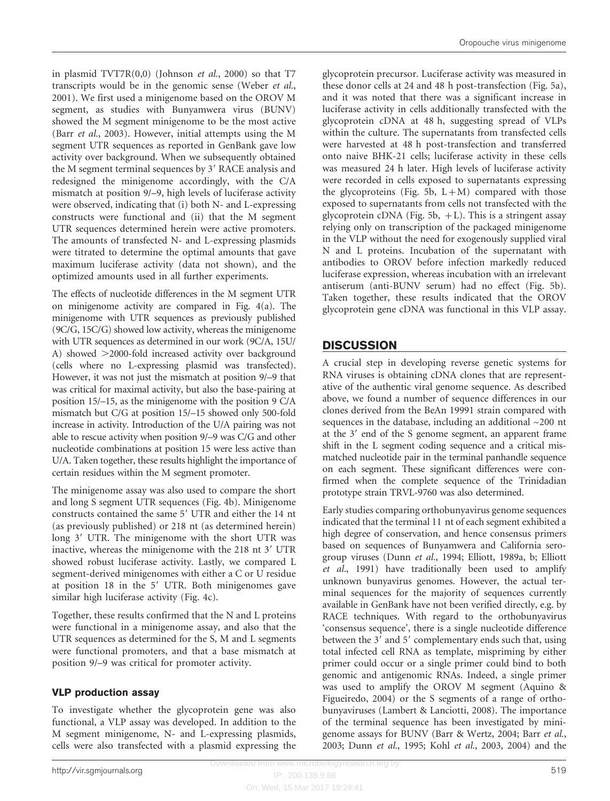in plasmid  $TVT7R(0,0)$  [\(Johnson](#page-10-0) *et al.*, 2000) so that  $T7$ transcripts would be in the genomic sense [\(Weber](#page-10-0) et al., [2001\)](#page-10-0). We first used a minigenome based on the OROV M segment, as studies with Bunyamwera virus (BUNV) showed the M segment minigenome to be the most active (Barr et al.[, 2003\)](#page-9-0). However, initial attempts using the M segment UTR sequences as reported in GenBank gave low activity over background. When we subsequently obtained the M segment terminal sequences by 3' RACE analysis and redesigned the minigenome accordingly, with the C/A mismatch at position 9/–9, high levels of luciferase activity were observed, indicating that (i) both N- and L-expressing constructs were functional and (ii) that the M segment UTR sequences determined herein were active promoters. The amounts of transfected N- and L-expressing plasmids were titrated to determine the optimal amounts that gave maximum luciferase activity (data not shown), and the optimized amounts used in all further experiments.

The effects of nucleotide differences in the M segment UTR on minigenome activity are compared in [Fig. 4\(a\)](#page-7-0). The minigenome with UTR sequences as previously published (9C/G, 15C/G) showed low activity, whereas the minigenome with UTR sequences as determined in our work (9C/A, 15U/ A) showed >2000-fold increased activity over background (cells where no L-expressing plasmid was transfected). However, it was not just the mismatch at position 9/–9 that was critical for maximal activity, but also the base-pairing at position 15/–15, as the minigenome with the position 9 C/A mismatch but C/G at position 15/–15 showed only 500-fold increase in activity. Introduction of the U/A pairing was not able to rescue activity when position 9/–9 was C/G and other nucleotide combinations at position 15 were less active than U/A. Taken together, these results highlight the importance of certain residues within the M segment promoter.

The minigenome assay was also used to compare the short and long S segment UTR sequences [\(Fig. 4b\)](#page-7-0). Minigenome constructs contained the same 5' UTR and either the 14 nt (as previously published) or 218 nt (as determined herein) long 3' UTR. The minigenome with the short UTR was inactive, whereas the minigenome with the  $218$  nt  $3'$  UTR showed robust luciferase activity. Lastly, we compared L segment-derived minigenomes with either a C or U residue at position  $18$  in the  $5'$  UTR. Both minigenomes gave similar high luciferase activity [\(Fig. 4c](#page-7-0)).

Together, these results confirmed that the N and L proteins were functional in a minigenome assay, and also that the UTR sequences as determined for the S, M and L segments were functional promoters, and that a base mismatch at position 9/–9 was critical for promoter activity.

### VLP production assay

To investigate whether the glycoprotein gene was also functional, a VLP assay was developed. In addition to the M segment minigenome, N- and L-expressing plasmids, cells were also transfected with a plasmid expressing the glycoprotein precursor. Luciferase activity was measured in these donor cells at 24 and 48 h post-transfection [\(Fig. 5a\)](#page-7-0), and it was noted that there was a significant increase in luciferase activity in cells additionally transfected with the glycoprotein cDNA at 48 h, suggesting spread of VLPs within the culture. The supernatants from transfected cells were harvested at 48 h post-transfection and transferred onto naive BHK-21 cells; luciferase activity in these cells was measured 24 h later. High levels of luciferase activity were recorded in cells exposed to supernatants expressing the glycoproteins ([Fig. 5b,](#page-7-0)  $L+M$ ) compared with those exposed to supernatants from cells not transfected with the glycoprotein cDNA [\(Fig. 5b,](#page-7-0)  $+L$ ). This is a stringent assay relying only on transcription of the packaged minigenome in the VLP without the need for exogenously supplied viral N and L proteins. Incubation of the supernatant with antibodies to OROV before infection markedly reduced luciferase expression, whereas incubation with an irrelevant antiserum (anti-BUNV serum) had no effect ([Fig. 5b\)](#page-7-0). Taken together, these results indicated that the OROV glycoprotein gene cDNA was functional in this VLP assay.

# **DISCUSSION**

A crucial step in developing reverse genetic systems for RNA viruses is obtaining cDNA clones that are representative of the authentic viral genome sequence. As described above, we found a number of sequence differences in our clones derived from the BeAn 19991 strain compared with sequences in the database, including an additional  $\sim$ 200 nt at the 3' end of the S genome segment, an apparent frame shift in the L segment coding sequence and a critical mismatched nucleotide pair in the terminal panhandle sequence on each segment. These significant differences were confirmed when the complete sequence of the Trinidadian prototype strain TRVL-9760 was also determined.

Early studies comparing orthobunyavirus genome sequences indicated that the terminal 11 nt of each segment exhibited a high degree of conservation, and hence consensus primers based on sequences of Bunyamwera and California serogroup viruses (Dunn et al.[, 1994; Elliott, 1989a, b](#page-10-0); [Elliott](#page-10-0) et al.[, 1991](#page-10-0)) have traditionally been used to amplify unknown bunyavirus genomes. However, the actual terminal sequences for the majority of sequences currently available in GenBank have not been verified directly, e.g. by RACE techniques. With regard to the orthobunyavirus 'consensus sequence', there is a single nucleotide difference between the 3' and 5' complementary ends such that, using total infected cell RNA as template, mispriming by either primer could occur or a single primer could bind to both genomic and antigenomic RNAs. Indeed, a single primer was used to amplify the OROV M segment [\(Aquino &](#page-9-0) [Figueiredo, 2004\)](#page-9-0) or the S segments of a range of orthobunyaviruses [\(Lambert & Lanciotti, 2008\)](#page-10-0). The importance of the terminal sequence has been investigated by minigenome assays for BUNV [\(Barr & Wertz, 2004;](#page-9-0) Barr [et al.](#page-9-0), [2003;](#page-9-0) Dunn et al.[, 1995](#page-10-0); Kohl et al.[, 2003, 2004](#page-10-0)) and the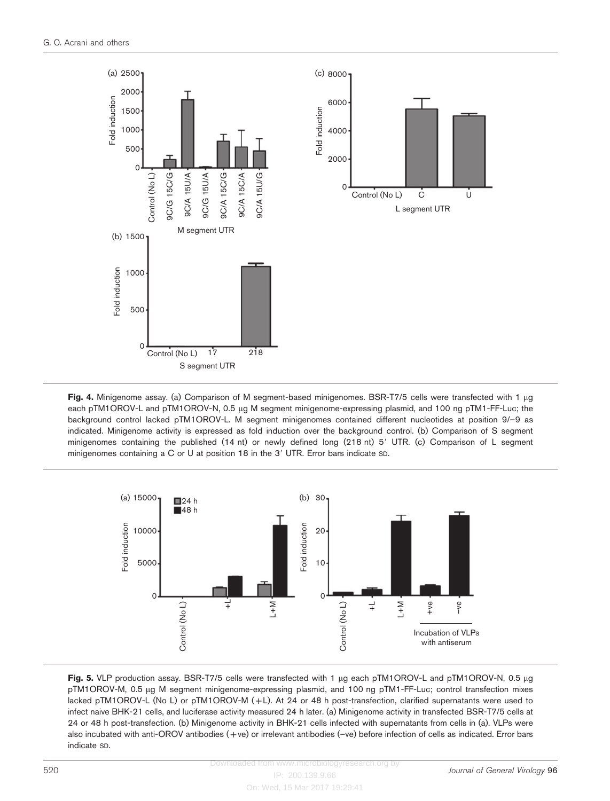<span id="page-7-0"></span>

Fig. 4. Minigenome assay. (a) Comparison of M segment-based minigenomes. BSR-T7/5 cells were transfected with 1 µg each pTM1OROV-L and pTM1OROV-N, 0.5 µg M segment minigenome-expressing plasmid, and 100 ng pTM1-FF-Luc; the background control lacked pTM1OROV-L. M segment minigenomes contained different nucleotides at position 9/–9 as indicated. Minigenome activity is expressed as fold induction over the background control. (b) Comparison of S segment minigenomes containing the published (14 nt) or newly defined long (218 nt) 5' UTR. (c) Comparison of L segment minigenomes containing a C or U at position 18 in the  $3'$  UTR. Error bars indicate  $SD$ .



Fig. 5. VLP production assay. BSR-T7/5 cells were transfected with 1  $\mu$ g each pTM1OROV-L and pTM1OROV-N, 0.5  $\mu$ g pTM1OROV-M, 0.5 µg M segment minigenome-expressing plasmid, and 100 ng pTM1-FF-Luc; control transfection mixes lacked pTM1OROV-L (No L) or pTM1OROV-M (+L). At 24 or 48 h post-transfection, clarified supernatants were used to infect naive BHK-21 cells, and luciferase activity measured 24 h later. (a) Minigenome activity in transfected BSR-T7/5 cells at 24 or 48 h post-transfection. (b) Minigenome activity in BHK-21 cells infected with supernatants from cells in (a). VLPs were also incubated with anti-OROV antibodies (+ve) or irrelevant antibodies (–ve) before infection of cells as indicated. Error bars indicate SD.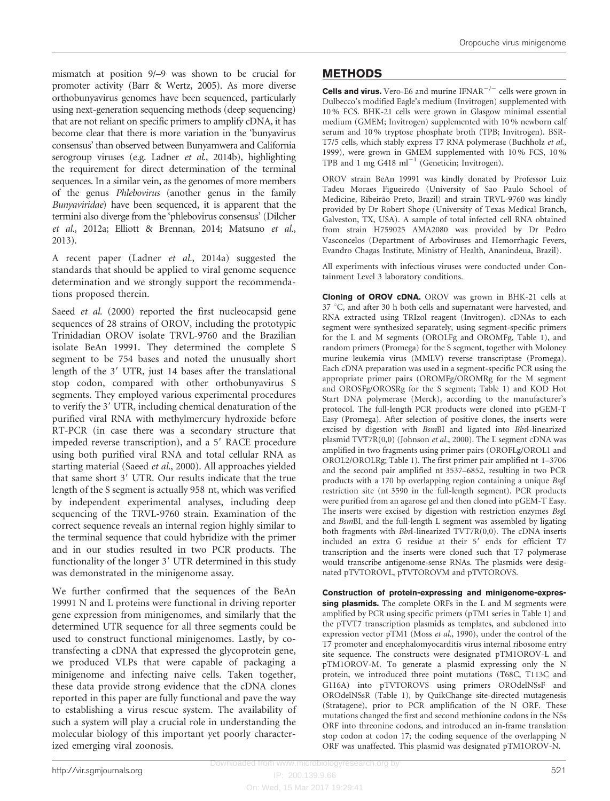mismatch at position 9/–9 was shown to be crucial for promoter activity (Barr & [Wertz, 2005](#page-9-0)). As more diverse orthobunyavirus genomes have been sequenced, particularly using next-generation sequencing methods (deep sequencing) that are not reliant on specific primers to amplify cDNA, it has become clear that there is more variation in the 'bunyavirus consensus' than observed between Bunyamwera and California serogroup viruses (e.g. Ladner et al.[, 2014b](#page-10-0)), highlighting the requirement for direct determination of the terminal sequences. In a similar vein, as the genomes of more members of the genus Phlebovirus (another genus in the family Bunyaviridae) have been sequenced, it is apparent that the termini also diverge from the 'phlebovirus consensus' [\(Dilcher](#page-10-0) et al.[, 2012a; Elliott & Brennan, 2014; Matsuno](#page-10-0) et al., [2013](#page-10-0)).

A recent paper (Ladner et al.[, 2014a](#page-10-0)) suggested the standards that should be applied to viral genome sequence determination and we strongly support the recommendations proposed therein.

Saeed *et al.* [\(2000\)](#page-10-0) reported the first nucleocapsid gene sequences of 28 strains of OROV, including the prototypic Trinidadian OROV isolate TRVL-9760 and the Brazilian isolate BeAn 19991. They determined the complete S segment to be 754 bases and noted the unusually short length of the 3' UTR, just 14 bases after the translational stop codon, compared with other orthobunyavirus S segments. They employed various experimental procedures to verify the 3' UTR, including chemical denaturation of the purified viral RNA with methylmercury hydroxide before RT-PCR (in case there was a secondary structure that impeded reverse transcription), and a 5' RACE procedure using both purified viral RNA and total cellular RNA as starting material (Saeed et al.[, 2000\)](#page-10-0). All approaches yielded that same short 3' UTR. Our results indicate that the true length of the S segment is actually 958 nt, which was verified by independent experimental analyses, including deep sequencing of the TRVL-9760 strain. Examination of the correct sequence reveals an internal region highly similar to the terminal sequence that could hybridize with the primer and in our studies resulted in two PCR products. The functionality of the longer 3' UTR determined in this study was demonstrated in the minigenome assay.

We further confirmed that the sequences of the BeAn 19991 N and L proteins were functional in driving reporter gene expression from minigenomes, and similarly that the determined UTR sequence for all three segments could be used to construct functional minigenomes. Lastly, by cotransfecting a cDNA that expressed the glycoprotein gene, we produced VLPs that were capable of packaging a minigenome and infecting naive cells. Taken together, these data provide strong evidence that the cDNA clones reported in this paper are fully functional and pave the way to establishing a virus rescue system. The availability of such a system will play a crucial role in understanding the molecular biology of this important yet poorly characterized emerging viral zoonosis.

#### METHODS

**Cells and virus.** Vero-E6 and murine IFNAR<sup> $-/-$ </sup> cells were grown in Dulbecco's modified Eagle's medium (Invitrogen) supplemented with 10 % FCS. BHK-21 cells were grown in Glasgow minimal essential medium (GMEM; Invitrogen) supplemented with 10 % newborn calf serum and 10 % tryptose phosphate broth (TPB; Invitrogen). BSR-T7/5 cells, which stably express T7 RNA polymerase ([Buchholz](#page-10-0) et al., [1999](#page-10-0)), were grown in GMEM supplemented with 10 % FCS, 10 % TPB and 1 mg G418 ml<sup> $-1$ </sup> (Geneticin; Invitrogen).

OROV strain BeAn 19991 was kindly donated by Professor Luiz Tadeu Moraes Figueiredo (University of Sao Paulo School of Medicine, Ribeirão Preto, Brazil) and strain TRVL-9760 was kindly provided by Dr Robert Shope (University of Texas Medical Branch, Galveston, TX, USA). A sample of total infected cell RNA obtained from strain H759025 AMA2080 was provided by Dr Pedro Vasconcelos (Department of Arboviruses and Hemorrhagic Fevers, Evandro Chagas Institute, Ministry of Health, Ananindeua, Brazil).

All experiments with infectious viruses were conducted under Containment Level 3 laboratory conditions.

Cloning of OROV cDNA. OROV was grown in BHK-21 cells at 37 °C, and after 30 h both cells and supernatant were harvested, and RNA extracted using TRIzol reagent (Invitrogen). cDNAs to each segment were synthesized separately, using segment-specific primers for the L and M segments (OROLFg and OROMFg, [Table 1](#page-2-0)), and random primers (Promega) for the S segment, together with Moloney murine leukemia virus (MMLV) reverse transcriptase (Promega). Each cDNA preparation was used in a segment-specific PCR using the appropriate primer pairs (OROMFg/OROMRg for the M segment and OROSFg/OROSRg for the S segment; [Table 1\)](#page-2-0) and KOD Hot Start DNA polymerase (Merck), according to the manufacturer's protocol. The full-length PCR products were cloned into pGEM-T Easy (Promega). After selection of positive clones, the inserts were excised by digestion with BsmBI and ligated into BbsI-linearized plasmid TVT7R(0,0) ([Johnson](#page-10-0) et al., 2000). The L segment cDNA was amplified in two fragments using primer pairs (OROFLg/OROL1 and OROL2/OROLRg; [Table 1\)](#page-2-0). The first primer pair amplified nt 1–3706 and the second pair amplified nt 3537–6852, resulting in two PCR products with a 170 bp overlapping region containing a unique BsgI restriction site (nt 3590 in the full-length segment). PCR products were purified from an agarose gel and then cloned into pGEM-T Easy. The inserts were excised by digestion with restriction enzymes BsgI and BsmBI, and the full-length L segment was assembled by ligating both fragments with BbsI-linearized TVT7R(0,0). The cDNA inserts included an extra G residue at their 5' ends for efficient T7 transcription and the inserts were cloned such that T7 polymerase would transcribe antigenome-sense RNAs. The plasmids were designated pTVTOROVL, pTVTOROVM and pTVTOROVS.

Construction of protein-expressing and minigenome-expressing plasmids. The complete ORFs in the L and M segments were amplified by PCR using specific primers (pTM1 series in [Table 1\)](#page-2-0) and the pTVT7 transcription plasmids as templates, and subcloned into expression vector pTM1 (Moss et al.[, 1990\)](#page-10-0), under the control of the T7 promoter and encephalomyocarditis virus internal ribosome entry site sequence. The constructs were designated pTM1OROV-L and pTM1OROV-M. To generate a plasmid expressing only the N protein, we introduced three point mutations (T68C, T113C and G116A) into pTVTOROVS using primers OROdelNSsF and OROdelNSsR ([Table 1\)](#page-2-0), by QuikChange site-directed mutagenesis (Stratagene), prior to PCR amplification of the N ORF. These mutations changed the first and second methionine codons in the NSs ORF into threonine codons, and introduced an in-frame translation stop codon at codon 17; the coding sequence of the overlapping N ORF was unaffected. This plasmid was designated pTM1OROV-N.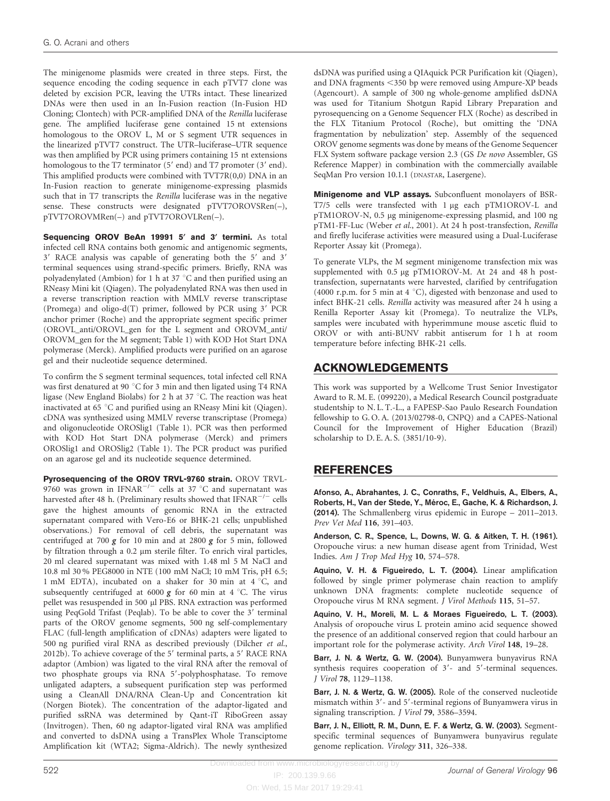<span id="page-9-0"></span>The minigenome plasmids were created in three steps. First, the sequence encoding the coding sequence in each pTVT7 clone was deleted by excision PCR, leaving the UTRs intact. These linearized DNAs were then used in an In-Fusion reaction (In-Fusion HD Cloning; Clontech) with PCR-amplified DNA of the Renilla luciferase gene. The amplified luciferase gene contained 15 nt extensions homologous to the OROV L, M or S segment UTR sequences in the linearized pTVT7 construct. The UTR–luciferase–UTR sequence was then amplified by PCR using primers containing 15 nt extensions homologous to the T7 terminator  $(5'$  end) and T7 promoter  $(3'$  end). This amplified products were combined with TVT7R(0,0) DNA in an In-Fusion reaction to generate minigenome-expressing plasmids such that in T7 transcripts the Renilla luciferase was in the negative sense. These constructs were designated pTVT7OROVSRen(-), pTVT7OROVMRen(–) and pTVT7OROVLRen(–).

Sequencing OROV BeAn 19991 5' and 3' termini. As total infected cell RNA contains both genomic and antigenomic segments, 3' RACE analysis was capable of generating both the 5' and 3' terminal sequences using strand-specific primers. Briefly, RNA was polyadenylated (Ambion) for 1 h at 37  $^{\circ}$ C and then purified using an RNeasy Mini kit (Qiagen). The polyadenylated RNA was then used in a reverse transcription reaction with MMLV reverse transcriptase (Promega) and oligo-d(T) primer, followed by PCR using  $3'$  PCR anchor primer (Roche) and the appropriate segment specific primer (OROVL\_anti/OROVL\_gen for the L segment and OROVM\_anti/ OROVM\_gen for the M segment; [Table 1\)](#page-2-0) with KOD Hot Start DNA polymerase (Merck). Amplified products were purified on an agarose gel and their nucleotide sequence determined.

To confirm the S segment terminal sequences, total infected cell RNA was first denatured at 90 $\degree$ C for 3 min and then ligated using T4 RNA ligase (New England Biolabs) for 2 h at 37  $\degree$ C. The reaction was heat inactivated at 65 °C and purified using an RNeasy Mini kit (Qiagen). cDNA was synthesized using MMLV reverse transcriptase (Promega) and oligonucleotide OROSlig1 ([Table 1](#page-2-0)). PCR was then performed with KOD Hot Start DNA polymerase (Merck) and primers OROSlig1 and OROSlig2 ([Table 1](#page-2-0)). The PCR product was purified on an agarose gel and its nucleotide sequence determined.

Pyrosequencing of the OROV TRVL-9760 strain. OROV TRVL-9760 was grown in IFNAR<sup>-/-</sup> cells at 37 °C and supernatant was harvested after 48 h. (Preliminary results showed that  $IFNAR^{-/-}$  cells gave the highest amounts of genomic RNA in the extracted supernatant compared with Vero-E6 or BHK-21 cells; unpublished observations.) For removal of cell debris, the supernatant was centrifuged at 700  $g$  for 10 min and at 2800  $g$  for 5 min, followed by filtration through a 0.2 µm sterile filter. To enrich viral particles, 20 ml cleared supernatant was mixed with 1.48 ml 5 M NaCl and 10.8 ml 30 % PEG8000 in NTE (100 mM NaCl; 10 mM Tris, pH 6.5; 1 mM EDTA), incubated on a shaker for 30 min at  $4^{\circ}$ C, and subsequently centrifuged at 6000  $g$  for 60 min at 4 °C. The virus pellet was resuspended in 500 µl PBS. RNA extraction was performed using PeqGold Trifast (Peqlab). To be able to cover the 3' terminal parts of the OROV genome segments, 500 ng self-complementary FLAC (full-length amplification of cDNAs) adapters were ligated to 500 ng purified viral RNA as described previously [\(Dilcher](#page-10-0) et al., [2012b\)](#page-10-0). To achieve coverage of the  $5'$  terminal parts, a  $5'$  RACE RNA adaptor (Ambion) was ligated to the viral RNA after the removal of two phosphate groups via RNA 5'-polyphosphatase. To remove unligated adapters, a subsequent purification step was performed using a CleanAll DNA/RNA Clean-Up and Concentration kit (Norgen Biotek). The concentration of the adaptor-ligated and purified ssRNA was determined by Qant-iT RiboGreen assay (Invitrogen). Then, 60 ng adaptor-ligated viral RNA was amplified and converted to dsDNA using a TransPlex Whole Transciptome Amplification kit (WTA2; Sigma-Aldrich). The newly synthesized

dsDNA was purified using a QIAquick PCR Purification kit (Qiagen), and DNA fragments  $\leq$ 350 bp were removed using Ampure-XP beads (Agencourt). A sample of 300 ng whole-genome amplified dsDNA was used for Titanium Shotgun Rapid Library Preparation and pyrosequencing on a Genome Sequencer FLX (Roche) as described in the FLX Titanium Protocol (Roche), but omitting the 'DNA fragmentation by nebulization' step. Assembly of the sequenced OROV genome segments was done by means of the Genome Sequencer FLX System software package version 2.3 (GS De novo Assembler, GS Reference Mapper) in combination with the commercially available SeqMan Pro version 10.1.1 (DNASTAR, Lasergene).

Minigenome and VLP assays. Subconfluent monolayers of BSR-T7/5 cells were transfected with 1 µg each pTM1OROV-L and pTM1OROV-N, 0.5 µg minigenome-expressing plasmid, and 100 ng pTM1-FF-Luc ([Weber](#page-10-0) et al., 2001). At 24 h post-transfection, Renilla and firefly luciferase activities were measured using a Dual-Luciferase Reporter Assay kit (Promega).

To generate VLPs, the M segment minigenome transfection mix was supplemented with 0.5 µg pTM1OROV-M. At 24 and 48 h posttransfection, supernatants were harvested, clarified by centrifugation (4000 r.p.m. for 5 min at 4  $^{\circ}$ C), digested with benzonase and used to infect BHK-21 cells. Renilla activity was measured after 24 h using a Renilla Reporter Assay kit (Promega). To neutralize the VLPs, samples were incubated with hyperimmune mouse ascetic fluid to OROV or with anti-BUNV rabbit antiserum for 1 h at room temperature before infecting BHK-21 cells.

# ACKNOWLEDGEMENTS

This work was supported by a Wellcome Trust Senior Investigator Award to R. M. E. (099220), a Medical Research Council postgraduate studentship to N. L. T.-L., a FAPESP-Sao Paulo Research Foundation fellowship to G. O. A. (2013/02798-0, CNPQ) and a CAPES-National Council for the Improvement of Higher Education (Brazil) scholarship to D. E. A. S. (3851/10-9).

# REFERENCES

Afonso, A., Abrahantes, J. C., Conraths, F., Veldhuis, A., Elbers, A., Roberts, H., Van der Stede, Y., Méroc, E., Gache, K. & Richardson, J. (2014). The Schmallenberg virus epidemic in Europe – 2011–2013. Prev Vet Med 116, 391–403.

Anderson, C. R., Spence, L., Downs, W. G. & Aitken, T. H. (1961). Oropouche virus: a new human disease agent from Trinidad, West Indies. Am J Trop Med Hyg 10, 574–578.

Aquino, V. H. & Figueiredo, L. T. (2004). Linear amplification followed by single primer polymerase chain reaction to amplify unknown DNA fragments: complete nucleotide sequence of Oropouche virus M RNA segment. J Virol Methods 115, 51–57.

Aquino, V. H., Moreli, M. L. & Moraes Figueiredo, L. T. (2003). Analysis of oropouche virus L protein amino acid sequence showed the presence of an additional conserved region that could harbour an important role for the polymerase activity. Arch Virol 148, 19–28.

Barr, J. N. & Wertz, G. W. (2004). Bunyamwera bunyavirus RNA synthesis requires cooperation of  $3'$ - and  $5'$ -terminal sequences. J Virol 78, 1129–1138.

Barr, J. N. & Wertz, G. W. (2005). Role of the conserved nucleotide mismatch within 3'- and 5'-terminal regions of Bunyamwera virus in signaling transcription. J Virol 79, 3586–3594.

Barr, J. N., Elliott, R. M., Dunn, E. F. & Wertz, G. W. (2003). Segmentspecific terminal sequences of Bunyamwera bunyavirus regulate genome replication. Virology 311, 326–338.